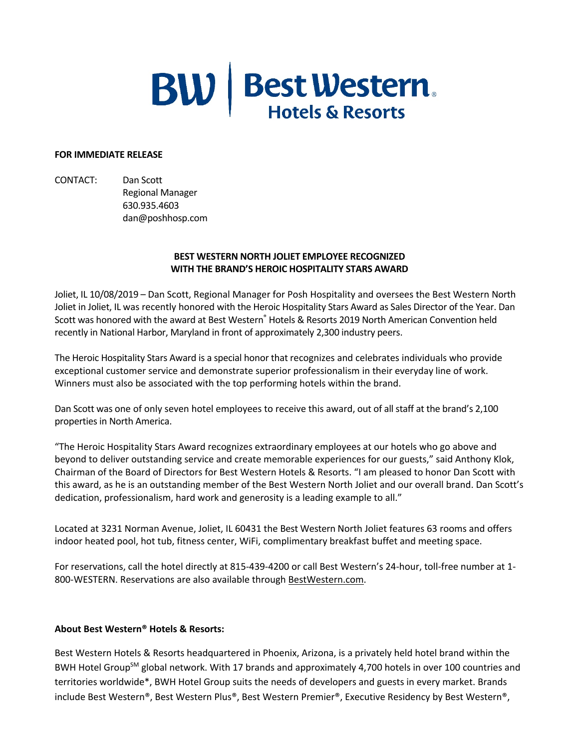## **BW** | Best Western.

## **FOR IMMEDIATE RELEASE**

CONTACT: Dan Scott Regional Manager 630.935.4603 dan@poshhosp.com

## **BEST WESTERN NORTH JOLIET EMPLOYEE RECOGNIZED WITH THE BRAND'S HEROIC HOSPITALITY STARS AWARD**

Joliet, IL 10/08/2019 – Dan Scott, Regional Manager for Posh Hospitality and oversees the Best Western North Joliet in Joliet, IL was recently honored with the Heroic Hospitality Stars Award as Sales Director of the Year. Dan Scott was honored with the award at Best Western® Hotels & Resorts 2019 North American Convention held recently in National Harbor, Maryland in front of approximately 2,300 industry peers.

The Heroic Hospitality Stars Award is a special honor that recognizes and celebrates individuals who provide exceptional customer service and demonstrate superior professionalism in their everyday line of work. Winners must also be associated with the top performing hotels within the brand.

Dan Scott was one of only seven hotel employees to receive this award, out of all staff at the brand's 2,100 properties in North America.

"The Heroic Hospitality Stars Award recognizes extraordinary employees at our hotels who go above and beyond to deliver outstanding service and create memorable experiences for our guests," said Anthony Klok, Chairman of the Board of Directors for Best Western Hotels & Resorts. "I am pleased to honor Dan Scott with this award, as he is an outstanding member of the Best Western North Joliet and our overall brand. Dan Scott's dedication, professionalism, hard work and generosity is a leading example to all."

Located at 3231 Norman Avenue, Joliet, IL 60431 the Best Western North Joliet features 63 rooms and offers indoor heated pool, hot tub, fitness center, WiFi, complimentary breakfast buffet and meeting space.

For reservations, call the hotel directly at 815-439-4200 or call Best Western's 24-hour, toll-free number at 1- 800-WESTERN. Reservations are also available through BestWestern.com.

## **About Best Western® Hotels & Resorts:**

Best Western Hotels & Resorts headquartered in Phoenix, Arizona, is a privately held hotel brand within the BWH Hotel Group<sup>SM</sup> global network. With 17 brands and approximately 4,700 hotels in over 100 countries and territories worldwide\*, BWH Hotel Group suits the needs of developers and guests in every market. Brands include Best Western®, Best Western Plus®, Best Western Premier®, Executive Residency by Best Western®,